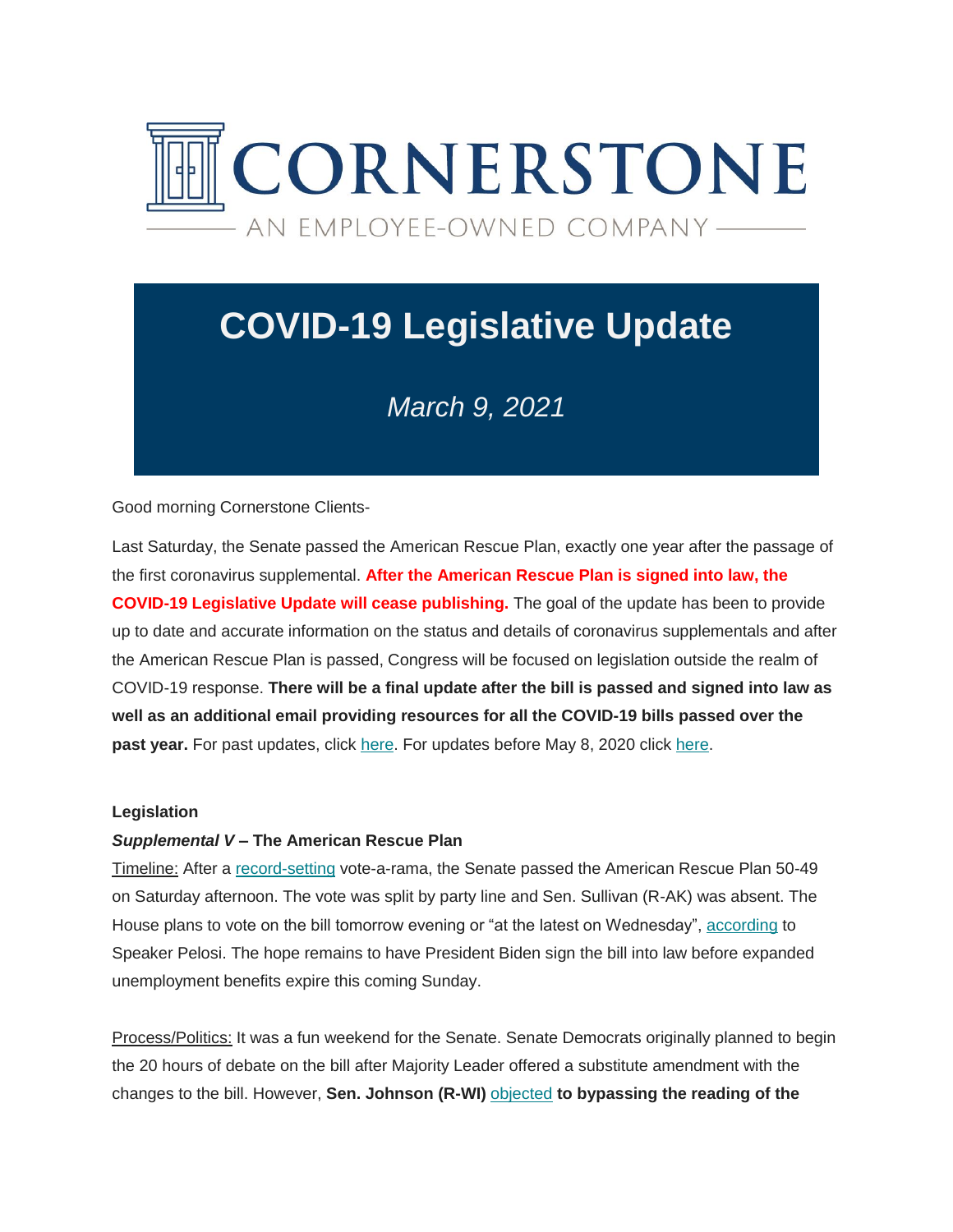

# **COVID-19 Legislative Update**

# *March 9, 2021*

Good morning Cornerstone Clients-

Last Saturday, the Senate passed the American Rescue Plan, exactly one year after the passage of the first coronavirus supplemental. **After the American Rescue Plan is signed into law, the COVID-19 Legislative Update will cease publishing.** The goal of the update has been to provide up to date and accurate information on the status and details of coronavirus supplementals and after the American Rescue Plan is passed, Congress will be focused on legislation outside the realm of COVID-19 response. **There will be a final update after the bill is passed and signed into law as well as an additional email providing resources for all the COVID-19 bills passed over the**  past year. For past updates, click [here.](https://cgagroup.us4.list-manage.com/track/click?u=2f96d6beb5306374d2ee2e12a&id=e6eccdc3b7&e=d801520914) For updates before May 8, 2020 click here.

#### **Legislation**

#### *Supplemental V* **– The American Rescue Plan**

Timeline: After a [record-setting](https://cgagroup.us4.list-manage.com/track/click?u=2f96d6beb5306374d2ee2e12a&id=bbec05df94&e=d801520914) vote-a-rama, the Senate passed the American Rescue Plan 50-49 on Saturday afternoon. The vote was split by party line and Sen. Sullivan (R-AK) was absent. The House plans to vote on the bill tomorrow evening or "at the latest on Wednesday", [according](https://cgagroup.us4.list-manage.com/track/click?u=2f96d6beb5306374d2ee2e12a&id=b526ae133c&e=d801520914) to Speaker Pelosi. The hope remains to have President Biden sign the bill into law before expanded unemployment benefits expire this coming Sunday.

Process/Politics: It was a fun weekend for the Senate. Senate Democrats originally planned to begin the 20 hours of debate on the bill after Majority Leader offered a substitute amendment with the changes to the bill. However, **Sen. Johnson (R-WI)** [objected](https://cgagroup.us4.list-manage.com/track/click?u=2f96d6beb5306374d2ee2e12a&id=e02d9d7148&e=d801520914) **to bypassing the reading of the**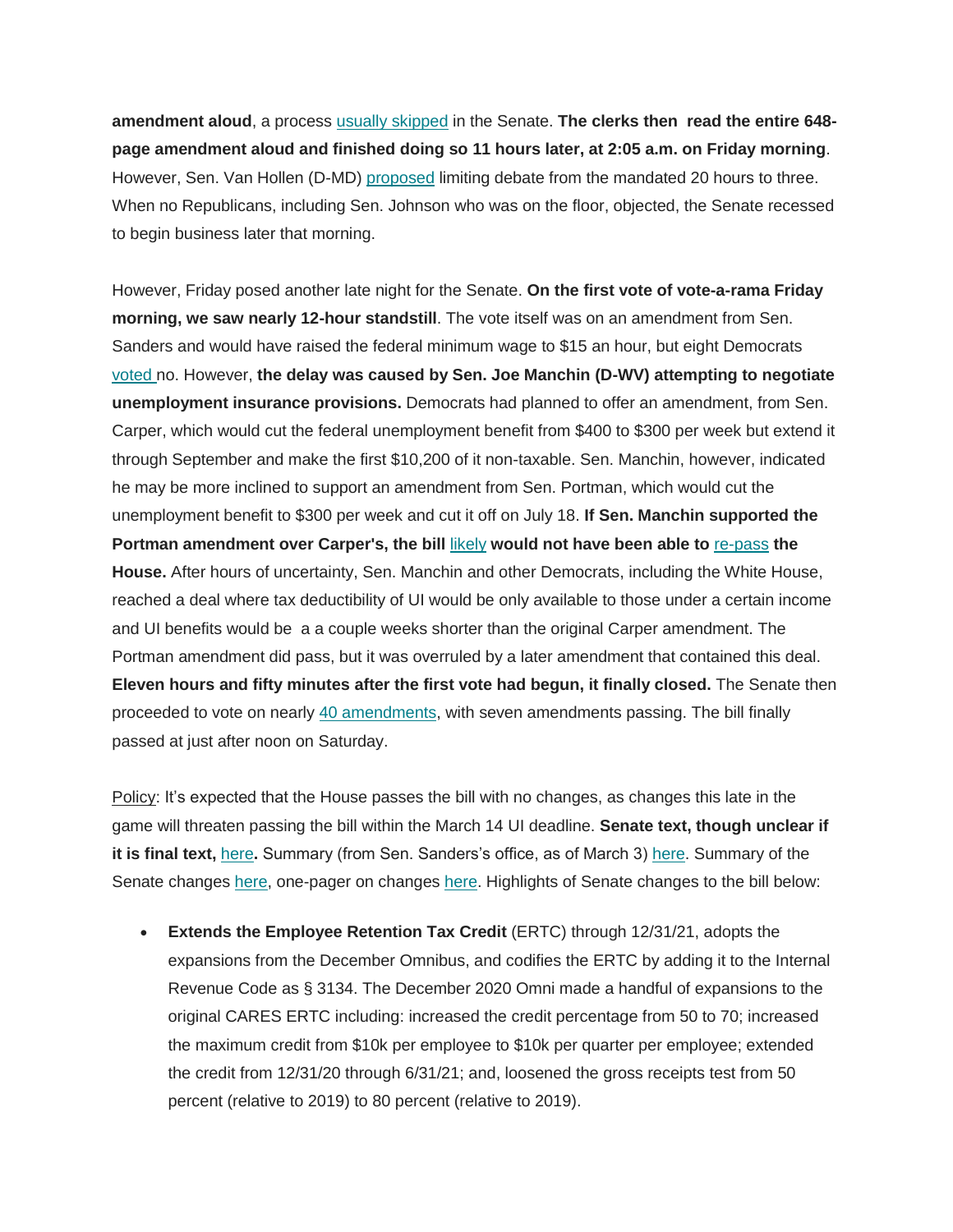**amendment aloud**, a process [usually skipped](https://cgagroup.us4.list-manage.com/track/click?u=2f96d6beb5306374d2ee2e12a&id=547fa24c1c&e=d801520914) in the Senate. **The clerks then read the entire 648 page amendment aloud and finished doing so 11 hours later, at 2:05 a.m. on Friday morning**. However, Sen. Van Hollen (D-MD) [proposed](https://cgagroup.us4.list-manage.com/track/click?u=2f96d6beb5306374d2ee2e12a&id=3499da7767&e=d801520914) limiting debate from the mandated 20 hours to three. When no Republicans, including Sen. Johnson who was on the floor, objected, the Senate recessed to begin business later that morning.

However, Friday posed another late night for the Senate. **On the first vote of vote-a-rama Friday morning, we saw nearly 12-hour standstill**. The vote itself was on an amendment from Sen. Sanders and would have raised the federal minimum wage to \$15 an hour, but eight Democrats [voted n](https://cgagroup.us4.list-manage.com/track/click?u=2f96d6beb5306374d2ee2e12a&id=2b6d429ff5&e=d801520914)o. However, **the delay was caused by Sen. Joe Manchin (D-WV) attempting to negotiate unemployment insurance provisions.** Democrats had planned to offer an amendment, from Sen. Carper, which would cut the federal unemployment benefit from \$400 to \$300 per week but extend it through September and make the first \$10,200 of it non-taxable. Sen. Manchin, however, indicated he may be more inclined to support an amendment from Sen. Portman, which would cut the unemployment benefit to \$300 per week and cut it off on July 18. **If Sen. Manchin supported the Portman amendment over Carper's, the bill** [likely](https://cgagroup.us4.list-manage.com/track/click?u=2f96d6beb5306374d2ee2e12a&id=6c6ca54491&e=d801520914) **would not have been able to** [re-pass](https://cgagroup.us4.list-manage.com/track/click?u=2f96d6beb5306374d2ee2e12a&id=72d5bc72b0&e=d801520914) **the House.** After hours of uncertainty, Sen. Manchin and other Democrats, including the White House, reached a deal where tax deductibility of UI would be only available to those under a certain income and UI benefits would be a a couple weeks shorter than the original Carper amendment. The Portman amendment did pass, but it was overruled by a later amendment that contained this deal. **Eleven hours and fifty minutes after the first vote had begun, it finally closed.** The Senate then proceeded to vote on nearly [40 amendments,](https://cgagroup.us4.list-manage.com/track/click?u=2f96d6beb5306374d2ee2e12a&id=ff3c19618f&e=d801520914) with seven amendments passing. The bill finally passed at just after noon on Saturday.

Policy: It's expected that the House passes the bill with no changes, as changes this late in the game will threaten passing the bill within the March 14 UI deadline. **Senate text, though unclear if it is final text,** [here](https://cgagroup.us4.list-manage.com/track/click?u=2f96d6beb5306374d2ee2e12a&id=1782c0331c&e=d801520914)**.** Summary (from Sen. Sanders's office, as of March 3) [here.](https://cgagroup.us4.list-manage.com/track/click?u=2f96d6beb5306374d2ee2e12a&id=6c71570533&e=d801520914) Summary of the Senate changes [here,](https://cgagroup.us4.list-manage.com/track/click?u=2f96d6beb5306374d2ee2e12a&id=ea7bc2e66f&e=d801520914) one-pager on changes [here.](https://cgagroup.us4.list-manage.com/track/click?u=2f96d6beb5306374d2ee2e12a&id=cfeb23dc69&e=d801520914) Highlights of Senate changes to the bill below:

 **Extends the Employee Retention Tax Credit** (ERTC) through 12/31/21, adopts the expansions from the December Omnibus, and codifies the ERTC by adding it to the Internal Revenue Code as § 3134. The December 2020 Omni made a handful of expansions to the original CARES ERTC including: increased the credit percentage from 50 to 70; increased the maximum credit from \$10k per employee to \$10k per quarter per employee; extended the credit from 12/31/20 through 6/31/21; and, loosened the gross receipts test from 50 percent (relative to 2019) to 80 percent (relative to 2019).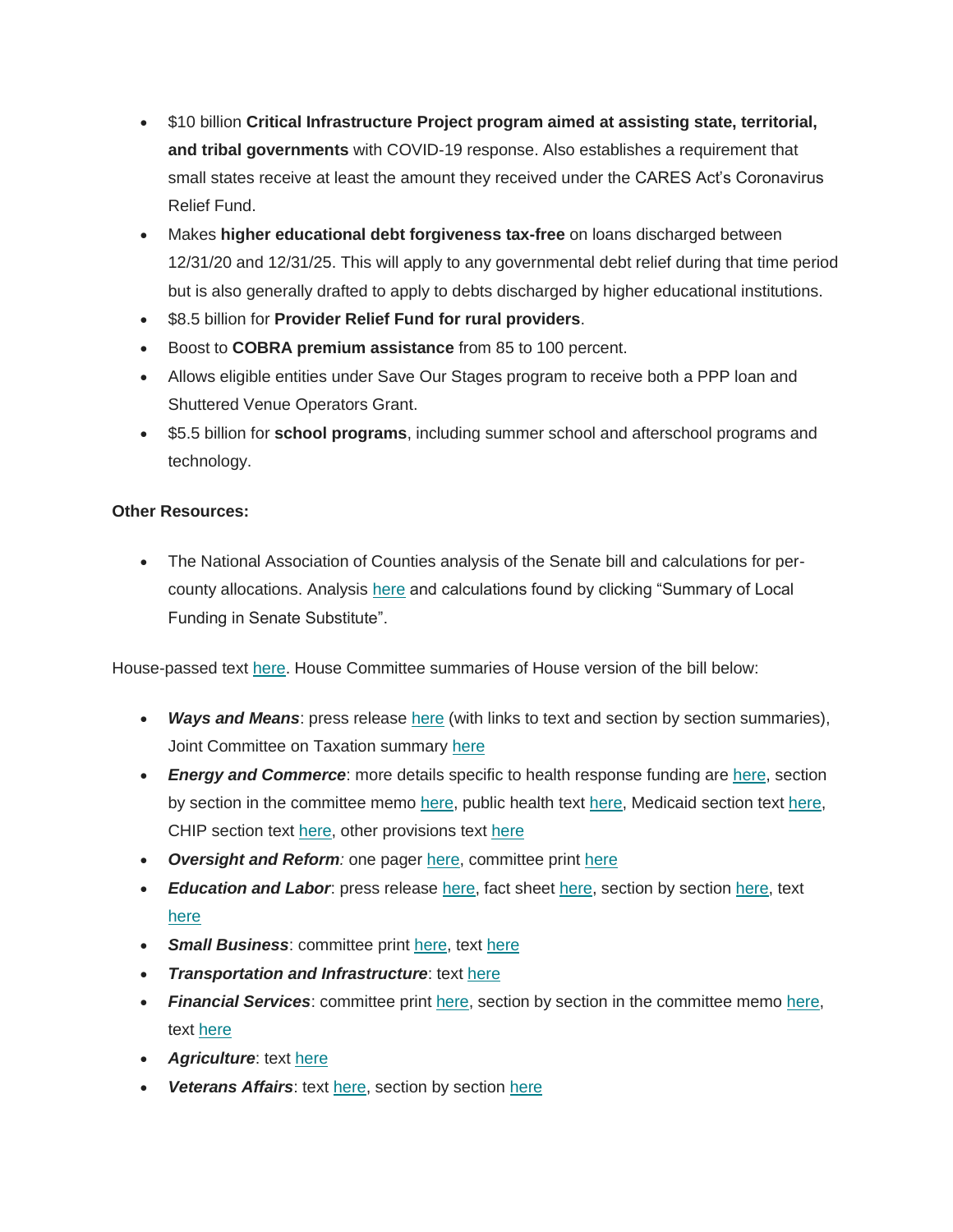- \$10 billion **Critical Infrastructure Project program aimed at assisting state, territorial, and tribal governments** with COVID-19 response. Also establishes a requirement that small states receive at least the amount they received under the CARES Act's Coronavirus Relief Fund.
- Makes **higher educational debt forgiveness tax-free** on loans discharged between 12/31/20 and 12/31/25. This will apply to any governmental debt relief during that time period but is also generally drafted to apply to debts discharged by higher educational institutions.
- $\bullet$  \$8.5 billion for **Provider Relief Fund for rural providers**.
- Boost to **COBRA premium assistance** from 85 to 100 percent.
- Allows eligible entities under Save Our Stages program to receive both a PPP loan and Shuttered Venue Operators Grant.
- \$5.5 billion for **school programs**, including summer school and afterschool programs and technology.

# **Other Resources:**

 The National Association of Counties analysis of the Senate bill and calculations for percounty allocations. Analysis [here](https://cgagroup.us4.list-manage.com/track/click?u=2f96d6beb5306374d2ee2e12a&id=95ff8e7477&e=d801520914) and calculations found by clicking "Summary of Local Funding in Senate Substitute".

House-passed text [here.](https://cgagroup.us4.list-manage.com/track/click?u=2f96d6beb5306374d2ee2e12a&id=72351a4b49&e=d801520914) House Committee summaries of House version of the bill below:

- Ways and Means: press release [here](https://cgagroup.us4.list-manage.com/track/click?u=2f96d6beb5306374d2ee2e12a&id=f2ff0391ba&e=d801520914) (with links to text and section by section summaries), Joint Committee on Taxation summary [here](https://cgagroup.us4.list-manage.com/track/click?u=2f96d6beb5306374d2ee2e12a&id=dde7114ebb&e=d801520914)
- *Energy and Commerce*: more details specific to health response funding are [here,](https://cgagroup.us4.list-manage.com/track/click?u=2f96d6beb5306374d2ee2e12a&id=803ed9c9a3&e=d801520914) section by section in the committee memo [here,](https://cgagroup.us4.list-manage.com/track/click?u=2f96d6beb5306374d2ee2e12a&id=6a022fb867&e=d801520914) public health tex[t here,](https://cgagroup.us4.list-manage.com/track/click?u=2f96d6beb5306374d2ee2e12a&id=7f63912feb&e=d801520914) Medicaid section text here, CHIP section text [here,](https://cgagroup.us4.list-manage.com/track/click?u=2f96d6beb5306374d2ee2e12a&id=cd3b3b8e70&e=d801520914) other provisions text [here](https://cgagroup.us4.list-manage.com/track/click?u=2f96d6beb5306374d2ee2e12a&id=7da2517be6&e=d801520914)
- *Oversight and Reform:* one pager [here,](https://cgagroup.us4.list-manage.com/track/click?u=2f96d6beb5306374d2ee2e12a&id=04c44de042&e=d801520914) committee print [here](https://cgagroup.us4.list-manage.com/track/click?u=2f96d6beb5306374d2ee2e12a&id=253cd41dc6&e=d801520914)
- *Education and Labor*: press release [here,](https://cgagroup.us4.list-manage.com/track/click?u=2f96d6beb5306374d2ee2e12a&id=11ccfe4edf&e=d801520914) fact sheet [here,](https://cgagroup.us4.list-manage.com/track/click?u=2f96d6beb5306374d2ee2e12a&id=47227f604a&e=d801520914) section by sectio[n here,](https://cgagroup.us4.list-manage.com/track/click?u=2f96d6beb5306374d2ee2e12a&id=447fff334e&e=d801520914) text [here](https://cgagroup.us4.list-manage.com/track/click?u=2f96d6beb5306374d2ee2e12a&id=58a49799c3&e=d801520914)
- *Small Business*: committee print [here,](https://cgagroup.us4.list-manage.com/track/click?u=2f96d6beb5306374d2ee2e12a&id=b53c2a8143&e=d801520914) text [here](https://cgagroup.us4.list-manage.com/track/click?u=2f96d6beb5306374d2ee2e12a&id=6d4f21c5a2&e=d801520914)
- *Transportation and Infrastructure*: text [here](https://cgagroup.us4.list-manage.com/track/click?u=2f96d6beb5306374d2ee2e12a&id=4cae01d966&e=d801520914)
- *Financial Services*: committee print [here,](https://cgagroup.us4.list-manage.com/track/click?u=2f96d6beb5306374d2ee2e12a&id=7107ac8bde&e=d801520914) section by section in the committee memo [here,](https://cgagroup.us4.list-manage.com/track/click?u=2f96d6beb5306374d2ee2e12a&id=6bec2c5a5d&e=d801520914) text [here](https://cgagroup.us4.list-manage.com/track/click?u=2f96d6beb5306374d2ee2e12a&id=7dc5c80e59&e=d801520914)
- *Agriculture*: text [here](https://cgagroup.us4.list-manage.com/track/click?u=2f96d6beb5306374d2ee2e12a&id=73c6b40151&e=d801520914)
- *Veterans Affairs*: text [here,](https://cgagroup.us4.list-manage.com/track/click?u=2f96d6beb5306374d2ee2e12a&id=a3d54b0132&e=d801520914) section by section [here](https://cgagroup.us4.list-manage.com/track/click?u=2f96d6beb5306374d2ee2e12a&id=12ce75d6af&e=d801520914)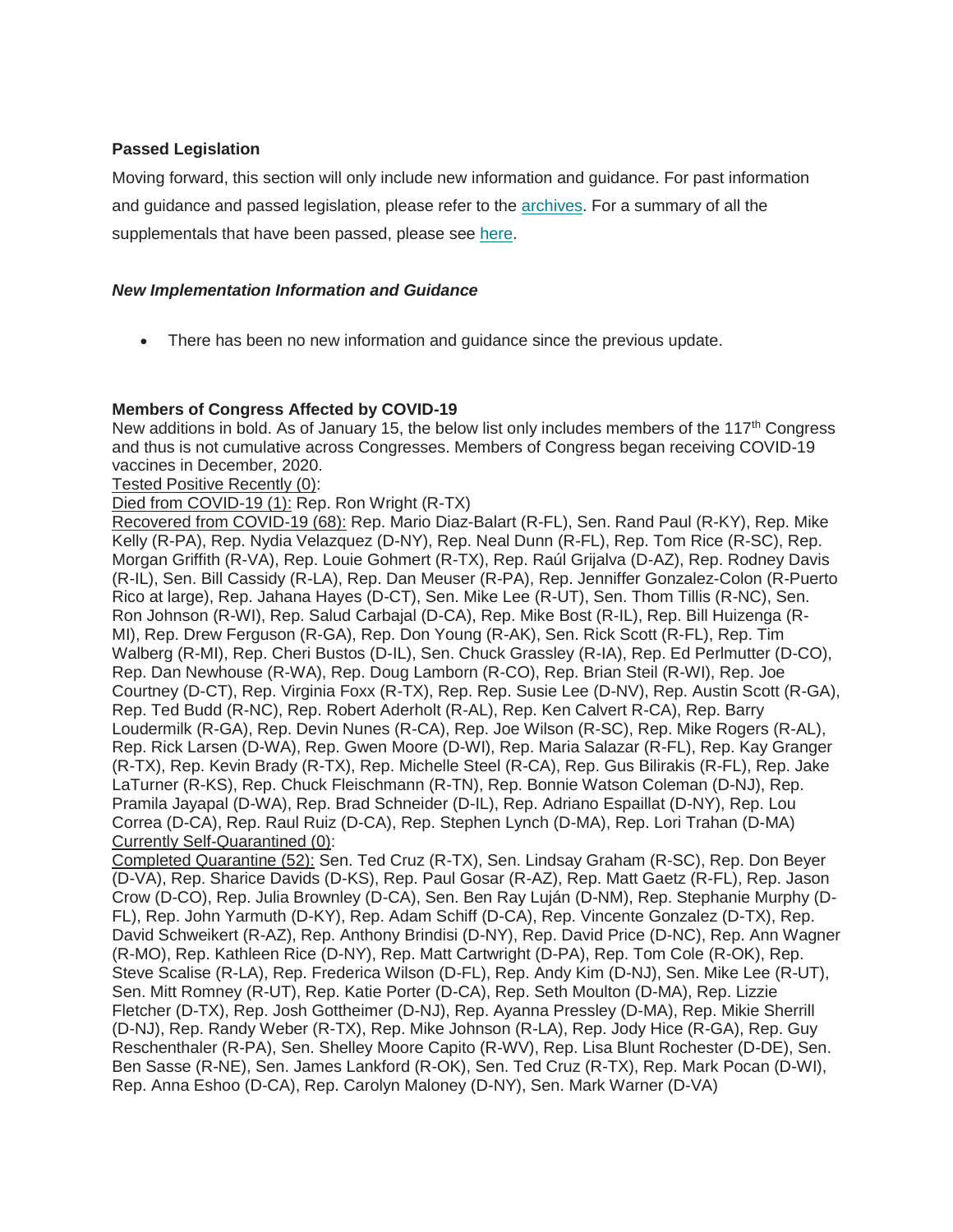## **Passed Legislation**

Moving forward, this section will only include new information and guidance. For past information and guidance and passed legislation, please refer to the [archives.](https://cgagroup.us4.list-manage.com/track/click?u=2f96d6beb5306374d2ee2e12a&id=0c415f8d2f&e=d801520914) For a summary of all the supplementals that have been passed, please see [here.](https://cgagroup.us4.list-manage.com/track/click?u=2f96d6beb5306374d2ee2e12a&id=e5979f0d64&e=d801520914)

## *New Implementation Information and Guidance*

There has been no new information and guidance since the previous update.

#### **Members of Congress Affected by COVID-19**

New additions in bold. As of January 15, the below list only includes members of the 117<sup>th</sup> Congress and thus is not cumulative across Congresses. Members of Congress began receiving COVID-19 vaccines in December, 2020.

Tested Positive Recently (0):

Died from COVID-19 (1): Rep. Ron Wright (R-TX)

Recovered from COVID-19 (68): Rep. Mario Diaz-Balart (R-FL), Sen. Rand Paul (R-KY), Rep. Mike Kelly (R-PA), Rep. Nydia Velazquez (D-NY), Rep. Neal Dunn (R-FL), Rep. Tom Rice (R-SC), Rep. Morgan Griffith (R-VA), Rep. Louie Gohmert (R-TX), Rep. Raúl Grijalva (D-AZ), Rep. Rodney Davis (R-IL), Sen. Bill Cassidy (R-LA), Rep. Dan Meuser (R-PA), Rep. Jenniffer Gonzalez-Colon (R-Puerto Rico at large), Rep. Jahana Hayes (D-CT), Sen. Mike Lee (R-UT), Sen. Thom Tillis (R-NC), Sen. Ron Johnson (R-WI), Rep. Salud Carbajal (D-CA), Rep. Mike Bost (R-IL), Rep. Bill Huizenga (R-MI), Rep. Drew Ferguson (R-GA), Rep. Don Young (R-AK), Sen. Rick Scott (R-FL), Rep. Tim Walberg (R-MI), Rep. Cheri Bustos (D-IL), Sen. Chuck Grassley (R-IA), Rep. Ed Perlmutter (D-CO), Rep. Dan Newhouse (R-WA), Rep. Doug Lamborn (R-CO), Rep. Brian Steil (R-WI), Rep. Joe Courtney (D-CT), Rep. Virginia Foxx (R-TX), Rep. Rep. Susie Lee (D-NV), Rep. Austin Scott (R-GA), Rep. Ted Budd (R-NC), Rep. Robert Aderholt (R-AL), Rep. Ken Calvert R-CA), Rep. Barry Loudermilk (R-GA), Rep. Devin Nunes (R-CA), Rep. Joe Wilson (R-SC), Rep. Mike Rogers (R-AL), Rep. Rick Larsen (D-WA), Rep. Gwen Moore (D-WI), Rep. Maria Salazar (R-FL), Rep. Kay Granger (R-TX), Rep. Kevin Brady (R-TX), Rep. Michelle Steel (R-CA), Rep. Gus Bilirakis (R-FL), Rep. Jake LaTurner (R-KS), Rep. Chuck Fleischmann (R-TN), Rep. Bonnie Watson Coleman (D-NJ), Rep. Pramila Jayapal (D-WA), Rep. Brad Schneider (D-IL), Rep. Adriano Espaillat (D-NY), Rep. Lou Correa (D-CA), Rep. Raul Ruiz (D-CA), Rep. Stephen Lynch (D-MA), Rep. Lori Trahan (D-MA) Currently Self-Quarantined (0):

Completed Quarantine (52): Sen. Ted Cruz (R-TX), Sen. Lindsay Graham (R-SC), Rep. Don Beyer (D-VA), Rep. Sharice Davids (D-KS), Rep. Paul Gosar (R-AZ), Rep. Matt Gaetz (R-FL), Rep. Jason Crow (D-CO), Rep. Julia Brownley (D-CA), Sen. Ben Ray Luján (D-NM), Rep. Stephanie Murphy (D-FL), Rep. John Yarmuth (D-KY), Rep. Adam Schiff (D-CA), Rep. Vincente Gonzalez (D-TX), Rep. David Schweikert (R-AZ), Rep. Anthony Brindisi (D-NY), Rep. David Price (D-NC), Rep. Ann Wagner (R-MO), Rep. Kathleen Rice (D-NY), Rep. Matt Cartwright (D-PA), Rep. Tom Cole (R-OK), Rep. Steve Scalise (R-LA), Rep. Frederica Wilson (D-FL), Rep. Andy Kim (D-NJ), Sen. Mike Lee (R-UT), Sen. Mitt Romney (R-UT), Rep. Katie Porter (D-CA), Rep. Seth Moulton (D-MA), Rep. Lizzie Fletcher (D-TX), Rep. Josh Gottheimer (D-NJ), Rep. Ayanna Pressley (D-MA), Rep. Mikie Sherrill (D-NJ), Rep. Randy Weber (R-TX), Rep. Mike Johnson (R-LA), Rep. Jody Hice (R-GA), Rep. Guy Reschenthaler (R-PA), Sen. Shelley Moore Capito (R-WV), Rep. Lisa Blunt Rochester (D-DE), Sen. Ben Sasse (R-NE), Sen. James Lankford (R-OK), Sen. Ted Cruz (R-TX), Rep. Mark Pocan (D-WI), Rep. Anna Eshoo (D-CA), Rep. Carolyn Maloney (D-NY), Sen. Mark Warner (D-VA)